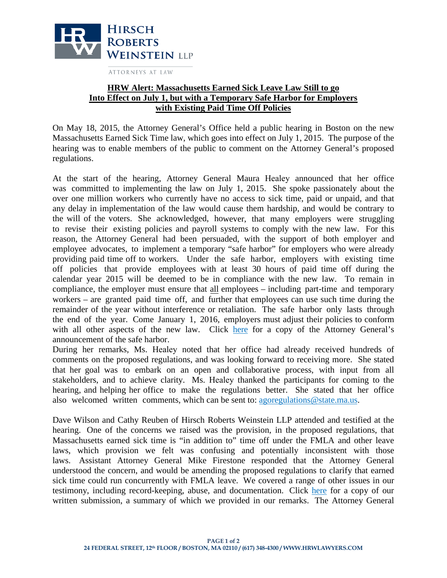

ATTORNEYS AT LAW

## **HRW Alert: Massachusetts Earned Sick Leave Law Still to go Into Effect on July 1, but with a Temporary Safe Harbor for Employers with Existing Paid Time Off Policies**

On May 18, 2015, the Attorney General's Office held a public hearing in Boston on the new Massachusetts Earned Sick Time law, which goes into effect on July 1, 2015. The purpose of the hearing was to enable members of the public to comment on the Attorney General's proposed regulations.

At the start of the hearing, Attorney General Maura Healey announced that her office was committed to implementing the law on July 1, 2015. She spoke passionately about the over one million workers who currently have no access to sick time, paid or unpaid, and that any delay in implementation of the law would cause them hardship, and would be contrary to the will of the voters. She acknowledged, however, that many employers were struggling to revise their existing policies and payroll systems to comply with the new law. For this reason, the Attorney General had been persuaded, with the support of both employer and employee advocates, to implement a temporary "safe harbor" for employers who were already providing paid time off to workers. Under the safe harbor, employers with existing time off policies that provide employees with at least 30 hours of paid time off during the calendar year 2015 will be deemed to be in compliance with the new law. To remain in compliance, the employer must ensure that all employees – including part-time and temporary workers – are granted paid time off, and further that employees can use such time during the remainder of the year without interference or retaliation. The safe harbor only lasts through the end of the year. Come January 1, 2016, employers must adjust their policies to con[form](http://click.icptrack.com/icp/relay.php?r=9640172&msgid=68194&act=P0XN&c=1509365&destination=http%3A%2F%2Fwww.mass.gov%2Fago%2Fdocs%2Fworkplace%2Fearned-sick-time%2Fest-safe-harbor.pdf)  with all other aspects of the new law. Click here for a copy of the Attorney General's announcement of the safe harbor.

During her remarks, Ms. Healey noted that her office had already received hundreds of comments on the proposed regulations, and was looking forward to receiving more. She stated that her goal was to embark on an open and collaborative process, with input from all stakeholders, and to achieve clarity. Ms. Healey thanked the participants for coming to the hearing, and helping her office to make the regulations better. She stated that her office also welcomed written comm[ents, which can be sent to: ago](mailto:agoregulations@state.ma.us)regulations@state.ma.us.

Dave Wilson and Cathy Reuben of Hirsch Roberts Weinstein LLP attended and testified at the hearing. One of the concerns we raised was the provision, in the proposed regulations, that Massachusetts earned sick time is "in addition to" time off under the FMLA and other leave laws, which provision we felt was confusing and potentially inconsistent with those laws. Assistant Attorney General Mike Firestone responded that the Attorney General understood the concern, and would be amending the proposed regulations to clarify that earned sick time could run concurrently with FMLA leave. We covered a range of other issues in our testimony, including record-keeping, abuse, and documentation. Click [here](http://click.icptrack.com/icp/relay.php?r=9640172&msgid=68194&act=P0XN&c=1509365&destination=http%3A%2F%2Fwww.hrwlawyers.com%2Fassets%2FHRW-Testimony-Letter-from-AGs-Office-Hearing-on-Mass.-Sick-Leave-Law.pdf) for a copy of our written submission, a summary of which we provided in our remarks. The Attorney General